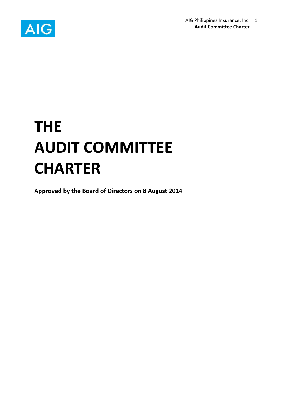

# **THE AUDIT COMMITTEE CHARTER**

**Approved by the Board of Directors on 8 August 2014**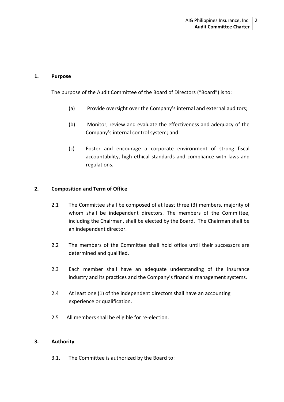#### **1. Purpose**

The purpose of the Audit Committee of the Board of Directors ("Board") is to:

- (a) Provide oversight over the Company's internal and external auditors;
- (b) Monitor, review and evaluate the effectiveness and adequacy of the Company's internal control system; and
- (c) Foster and encourage a corporate environment of strong fiscal accountability, high ethical standards and compliance with laws and regulations.

## **2. Composition and Term of Office**

- 2.1 The Committee shall be composed of at least three (3) members, majority of whom shall be independent directors. The members of the Committee, including the Chairman, shall be elected by the Board. The Chairman shall be an independent director.
- 2.2 The members of the Committee shall hold office until their successors are determined and qualified.
- 2.3 Each member shall have an adequate understanding of the insurance industry and its practices and the Company's financial management systems.
- 2.4 At least one (1) of the independent directors shall have an accounting experience or qualification.
- 2.5 All members shall be eligible for re-election.

#### **3. Authority**

3.1. The Committee is authorized by the Board to: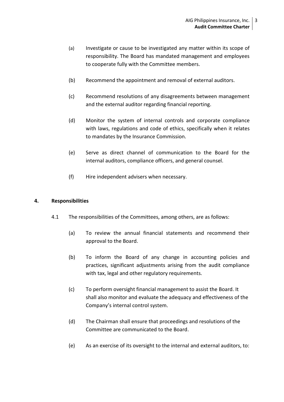- (a) Investigate or cause to be investigated any matter within its scope of responsibility. The Board has mandated management and employees to cooperate fully with the Committee members.
- (b) Recommend the appointment and removal of external auditors.
- (c) Recommend resolutions of any disagreements between management and the external auditor regarding financial reporting.
- (d) Monitor the system of internal controls and corporate compliance with laws, regulations and code of ethics, specifically when it relates to mandates by the Insurance Commission.
- (e) Serve as direct channel of communication to the Board for the internal auditors, compliance officers, and general counsel.
- (f) Hire independent advisers when necessary.

### **4. Responsibilities**

- 4.1 The responsibilities of the Committees, among others, are as follows:
	- (a) To review the annual financial statements and recommend their approval to the Board.
	- (b) To inform the Board of any change in accounting policies and practices, significant adjustments arising from the audit compliance with tax, legal and other regulatory requirements.
	- (c) To perform oversight financial management to assist the Board. It shall also monitor and evaluate the adequacy and effectiveness of the Company's internal control system.
	- (d) The Chairman shall ensure that proceedings and resolutions of the Committee are communicated to the Board.
	- (e) As an exercise of its oversight to the internal and external auditors, to: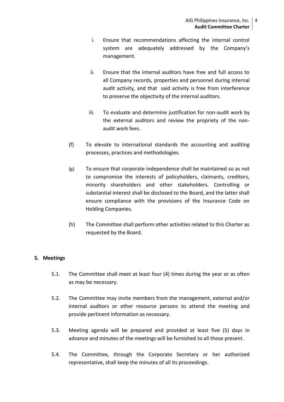- i. Ensure that recommendations affecting the internal control system are adequately addressed by the Company's management.
- ii. Ensure that the internal auditors have free and full access to all Company records, properties and personnel during internal audit activity, and that said activity is free from interference to preserve the objectivity of the internal auditors.
- iii. To evaluate and determine justification for non-audit work by the external auditors and review the propriety of the nonaudit work fees.
- (f) To elevate to international standards the accounting and auditing processes, practices and methodologies.
- (g) To ensure that corporate independence shall be maintained so as not to compromise the interests of policyholders, claimants, creditors, minority shareholders and other stakeholders. Controlling or substantial interest shall be disclosed to the Board, and the latter shall ensure compliance with the provisions of the Insurance Code on Holding Companies.
- (h) The Committee shall perform other activities related to this Charter as requested by the Board.

## **5. Meetings**

- 5.1. The Committee shall meet at least four (4) times during the year or as often as may be necessary.
- 5.2. The Committee may invite members from the management, external and/or internal auditors or other resource persons to attend the meeting and provide pertinent information as necessary.
- 5.3. Meeting agenda will be prepared and provided at least five (5) days in advance and minutes of the meetings will be furnished to all those present.
- 5.4. The Committee, through the Corporate Secretary or her authorized representative, shall keep the minutes of all its proceedings.